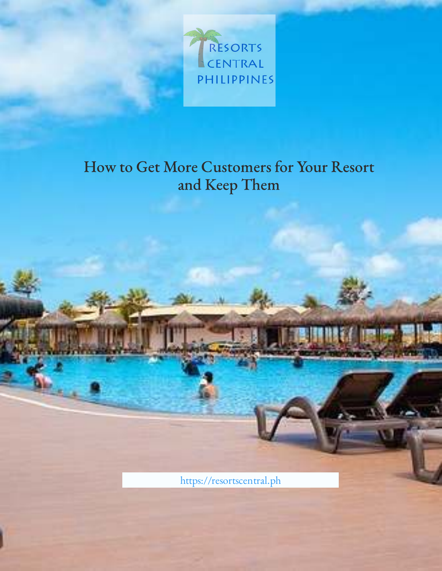<span id="page-0-0"></span>

[https://resortscentral.ph](https://resortscentral.ph/)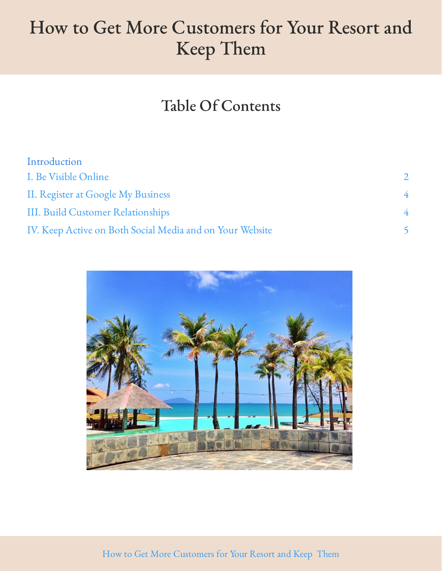### Table Of Contents

| Introduction                                             |                         |
|----------------------------------------------------------|-------------------------|
| I. Be Visible Online                                     | $\mathcal{D}_{1}^{(1)}$ |
| II. Register at Google My Business                       | 4                       |
| III. Build Customer Relationships                        | 4                       |
| IV. Keep Active on Both Social Media and on Your Website |                         |



How to Get More Customers for Your Resort and Keep Them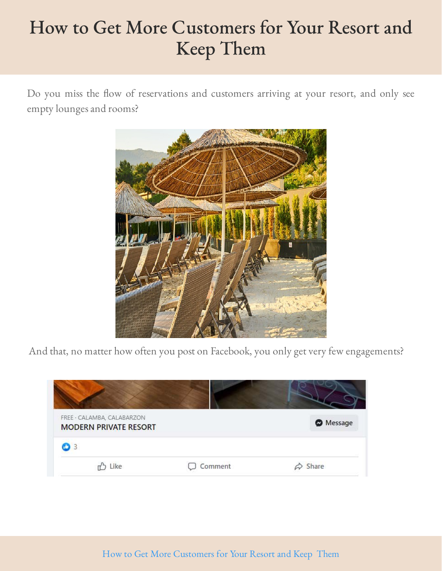Do you miss the flow of reservations and customers arriving at your resort, and only see empty lounges and rooms?



And that, no matter how often you post on Facebook, you only get very few engagements?

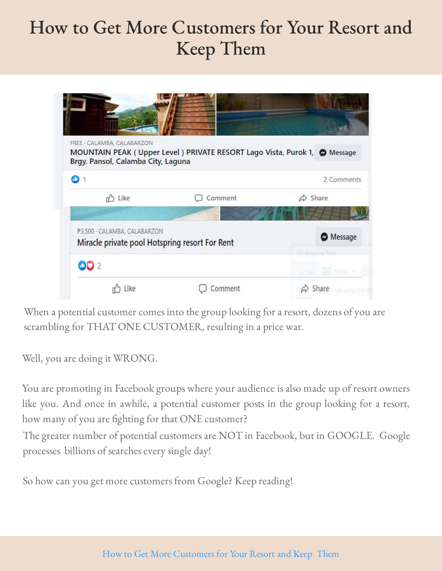| FREE · CALAMBA, CALABARZON                                                     | MOUNTAIN PEAK (Upper Level) PRIVATE RESORT Lago Vista, Purok 1, @ Message |                      |
|--------------------------------------------------------------------------------|---------------------------------------------------------------------------|----------------------|
| Brgy. Pansol, Calamba City, Laguna                                             |                                                                           | 2 Comments           |
| r <sup>b</sup> Like                                                            | Comment                                                                   | Share<br>♤           |
| P3,500 · CALAMBA, CALABARZON<br>Miracle private pool Hotspring resort For Rent |                                                                           | <b>Message</b>       |
| <b>OD</b> 2                                                                    |                                                                           | <b>Shipping list</b> |
|                                                                                | comment                                                                   | Share                |

When a potential customer comes into the group looking for a resort, dozens of you are scrambling for THAT ONE CUSTOMER, resulting in a price war.

Well, you are doing it WRONG.

You are promoting in Facebook groups where your audience is also made up of resort owners like you. And once in awhile, a potential customer posts in the group looking for a resort, how many of you are fighting for that ONE customer?

The greater number of potential customers are NOT in Facebook, but in GOOGLE. Google processes billions of searches every single day!

So how can you get more customers from Google? Keep reading!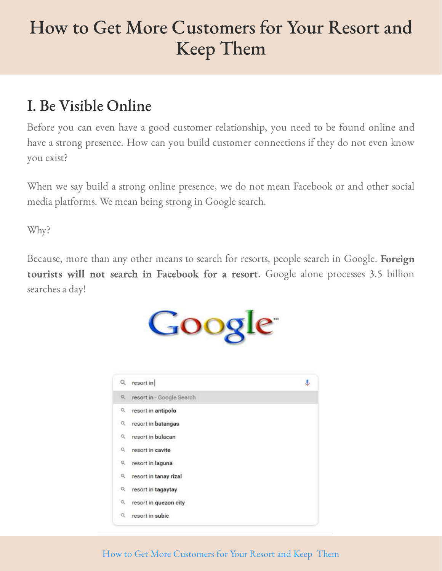### <span id="page-4-0"></span>I. Be Visible Online

Before you can even have a good customer relationship, you need to be found online and have a strong presence. How can you build customer connections if they do not even know you exist?

When we say build a strong online presence, we do not mean Facebook or and other social media platforms. We mean being strong in Google search.

Why?

Because, more than any other means to search for resorts, people search in Google. Foreign tourists will not search in Facebook for a resort. Google alone processes 3.5 billion searches a day!





#### How to Get More Customers for Your Resort and Keep Them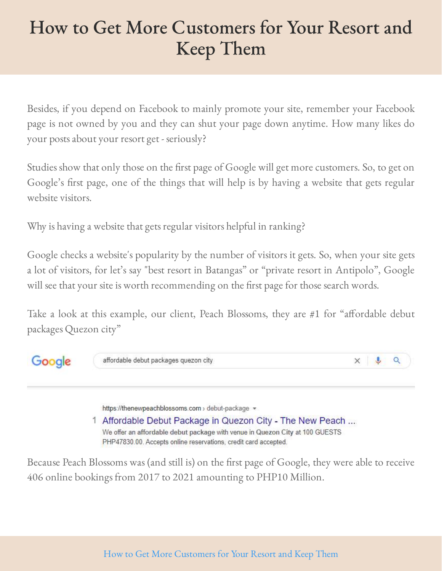Besides, if you depend on Facebook to mainly promote your site, remember your Facebook page is not owned by you and they can shut your page down anytime. How many likes do your posts about your resort get - seriously?

Studies show that only those on the first page of Google will get more customers. So, to get on Google's first page, one of the things that will help is by having a website that gets regular website visitors.

Why is having a website that gets regular visitors helpful in ranking?

Google checks a website's popularity by the number of visitors it gets. So, when your site gets a lot of visitors, for let's say "best resort in Batangas" or "private resort in Antipolo", Google will see that your site is worth recommending on the first page for those search words.

Take a look at this example, our client, Peach Blossoms, they are #1 for "affordable debut packages Quezon city"



https://thenewpeachblossoms.com > debut-package =

1 Affordable Debut Package in Quezon City - The New Peach ... We offer an affordable debut package with venue in Quezon City at 100 GUESTS PHP47830.00. Accepts online reservations, credit card accepted.

Because Peach Blossoms was (and still is) on the first page of Google, they were able to receive 406 online bookings from 2017 to 2021 amounting to PHP10 Million.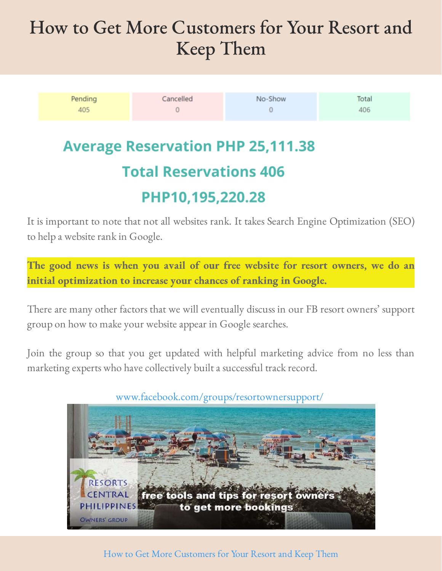| Pending | Cancelled | No-Show | Total |
|---------|-----------|---------|-------|
| 405     |           |         | 406   |

**Average Reservation PHP 25,111.38 Total Reservations 406** 

#### PHP10,195,220.28

It is important to note that not all websites rank. It takes Search Engine Optimization (SEO) to help a website rank in Google.

The good news is when you avail of our free website for resort owners, we do an initial optimization to increase your chances of ranking in Google.

There are many other factors that we will eventually discuss in our FB resort owners' support group on how to make your website appear in Google searches.

Join the group so that you get updated with helpful marketing advice from no less than marketing experts who have collectively built a successful track record.



#### [www.facebook.com/groups/resortownersupport/](http://www.facebook.com/groups/resortownersupport/)

#### How to Get More Customers for Your Resort and Keep Them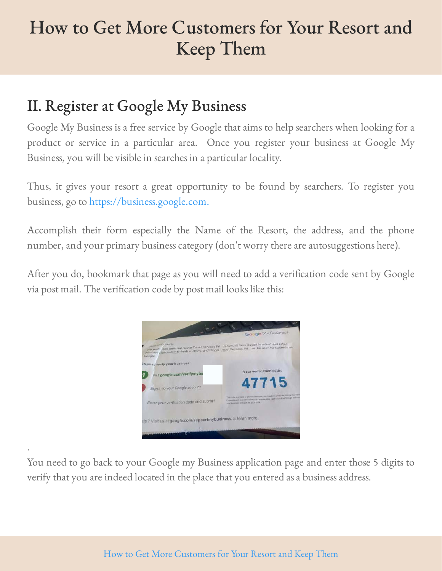### <span id="page-7-0"></span>II. Register at Google My Business

.

Google My Business is a free service by Google that aims to help searchers when looking for a product or service in a particular area. Once you register your business at Google My Business, you will be visible in searches in a particular locality.

Thus, it gives your resort a great opportunity to be found by searchers. To register you business, go to [https://business.google.com.](https://business.google.com/) 

Accomplish their form especially the Name of the Resort, the address, and the phone number, and your primary business category (don't worry there are autosuggestions here).

After you do, bookmark that page as you will need to add a verification code sent by Google via post mail. The verification code by post mail looks like this:



You need to go back to your Google my Business application page and enter those 5 digits to verify that you are indeed located in the place that you entered as a business address.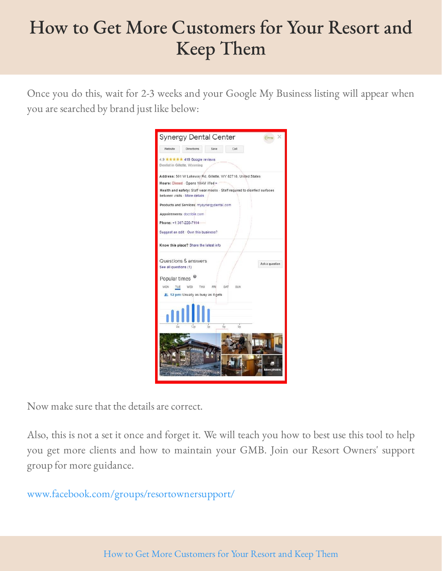Once you do this, wait for 2-3 weeks and your Google My Business listing will appear when you are searched by brand just like below:

|                            | <b>Synergy Dental Center</b>                                                                                | $G_{\text{max}} \times$   |
|----------------------------|-------------------------------------------------------------------------------------------------------------|---------------------------|
| Website                    | <b>Directions</b><br>Save<br>Call                                                                           |                           |
|                            | 4.9 ★ ★ ★ ★ ★ 419 Google reviews<br>Dentist in Gillette, Wyoming                                            |                           |
|                            | Address: 501 W Lakeway Rd, Gillette, WY 82718, United States                                                |                           |
|                            | Hours: Closed - Opens 10AM Wed -                                                                            |                           |
|                            | Health and safety: Staff wear masks · Staff required to disinfect surfaces<br>between visits - More details |                           |
|                            | Products and Services: mysynergydental.com                                                                  |                           |
|                            | Appointments: doctible.com                                                                                  |                           |
|                            | Phone: +1 307-228-7114                                                                                      |                           |
|                            | Suggest an edit - Own this business?                                                                        |                           |
|                            | Know this place? Share the latest info                                                                      |                           |
| See all questions (1)      | Questions & answers                                                                                         | Ask a question            |
| Popular times <sup>@</sup> |                                                                                                             |                           |
| MON TUE                    | WED THU<br>SAT<br>FRI<br>SUN                                                                                |                           |
|                            | 2, 12 pm: Usually as busy as it gets                                                                        |                           |
| ūs                         | 12 <sub>D</sub><br>3 <sub>0</sub><br>9 <sub>D</sub><br>6p                                                   |                           |
|                            |                                                                                                             |                           |
|                            |                                                                                                             |                           |
|                            |                                                                                                             | <b><i>Aore</i></b> photos |

Now make sure that the details are correct.

Also, this is not a set it once and forget it. We will teach you how to best use this tool to help you get more clients and how to maintain your GMB. Join our Resort Owners' support group for more guidance.

[www.facebook.com/groups/resortownersupport/](#page-0-0)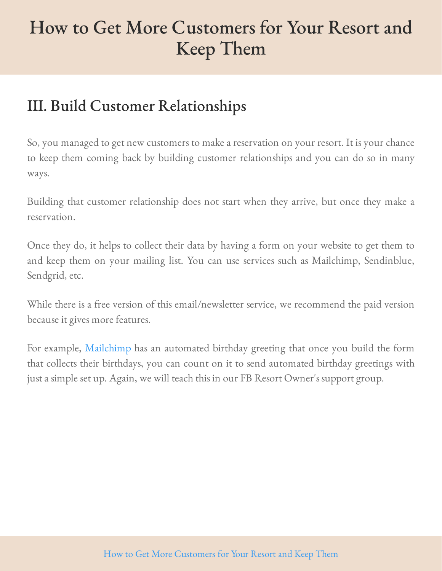### <span id="page-9-0"></span>III. Build Customer Relationships

So, you managed to get new customers to make a reservation on your resort. It is your chance to keep them coming back by building customer relationships and you can do so in many ways.

Building that customer relationship does not start when they arrive, but once they make a reservation.

Once they do, it helps to collect their data by having a form on your website to get them to and keep them on your mailing list. You can use services such as Mailchimp, Sendinblue, Sendgrid, etc.

While there is a free version of this email/newsletter service, we recommend the paid version because it gives more features.

For example, Mailchimp has an automated birthday greeting that once you build the form that collects their birthdays, you can count on it to send automated birthday greetings with just a simple set up. Again, we will teach this in our FB Resort Owner's support group.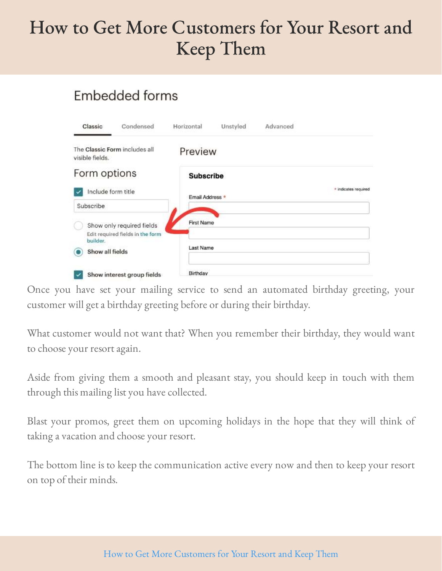#### Embedded forms

| Classic         | Condensed                                                     | Horizontal        | Unstyled | Advanced |                      |
|-----------------|---------------------------------------------------------------|-------------------|----------|----------|----------------------|
| visible fields. | The Classic Form includes all                                 | Preview           |          |          |                      |
| Form options    |                                                               | <b>Subscribe</b>  |          |          |                      |
|                 | Include form title                                            | Email Address *   |          |          | * indicates required |
| Subscribe       |                                                               |                   |          |          |                      |
| builder.        | Show only required fields<br>Edit required fields in the form | <b>First Name</b> |          |          |                      |
| Show all fields |                                                               | Last Name         |          |          |                      |
|                 | Show interest group fields                                    | Birthday          |          |          |                      |

Once you have set your mailing service to send an automated birthday greeting, your customer will get a birthday greeting before or during their birthday.

What customer would not want that? When you remember their birthday, they would want to choose your resort again.

Aside from giving them a smooth and pleasant stay, you should keep in touch with them through this mailing list you have collected.

Blast your promos, greet them on upcoming holidays in the hope that they will think of taking a vacation and choose your resort.

The bottom line is to keep the communication active every now and then to keep your resort on top of their minds.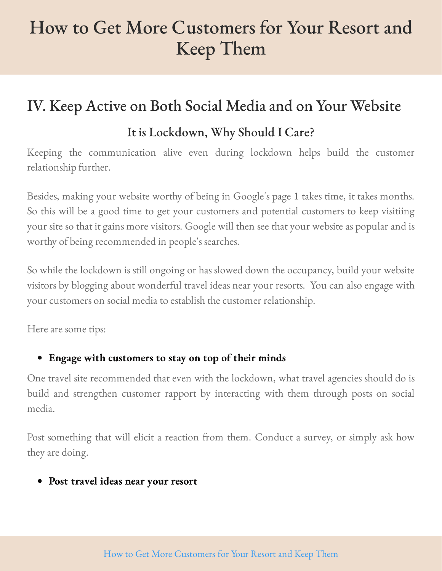#### <span id="page-11-0"></span>IV. Keep Active on Both Social Media and on Your Website

#### It is Lockdown, Why Should I Care?

Keeping the communication alive even during lockdown helps build the customer relationship further.

Besides, making your website worthy of being in Google's page 1 takes time, it takes months. So this will be a good time to get your customers and potential customers to keep visitiing your site so that it gains more visitors. Google will then see that your website as popular and is worthy of being recommended in people's searches.

So while the lockdown is still ongoing or has slowed down the occupancy, build your website visitors by blogging about wonderful travel ideas near your resorts. You can also engage with your customers on social media to establish the customer relationship.

Here are some tips:

#### Engage with customers to stay on top of their minds

One travel site recommended that even with the lockdown, what travel agencies should do is build and strengthen customer rapport by interacting with them through posts on social media.

Post something that will elicit a reaction from them. Conduct a survey, or simply ask how they are doing.

#### Post travel ideas near your resort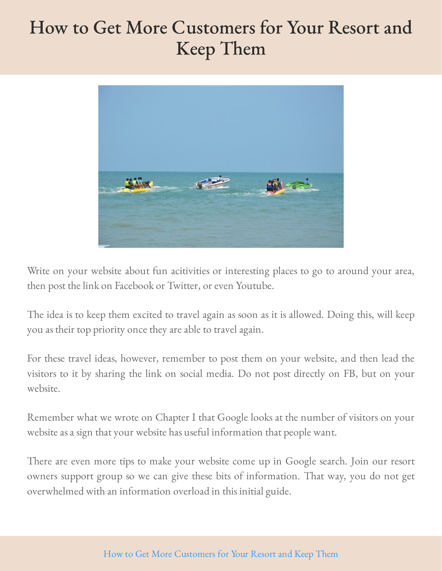

Write on your website about fun acitivities or interesting places to go to around your area, then post the link on Facebook or Twitter, or even Youtube.

The idea is to keep them excited to travel again as soon as it is allowed. Doing this, will keep you as their top priority once they are able to travel again.

For these travel ideas, however, remember to post them on your website, and then lead the visitors to it by sharing the link on social media. Do not post directly on FB, but on your website.

Remember what we wrote on Chapter I that Google looks at the number of visitors on your website as a sign that your website has useful information that people want.

There are even more tips to make your website come up in Google search. Join our resort owners support group so we can give these bits of information. That way, you do not get overwhelmed with an information overload in this initial guide.